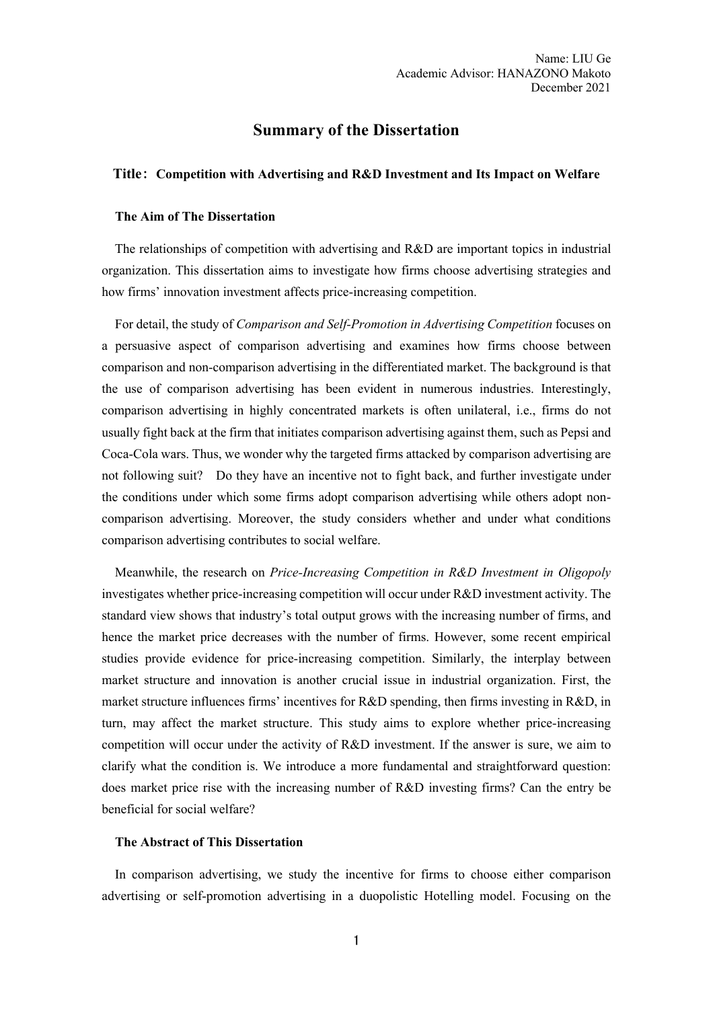# **Summary of the Dissertation**

### **Title**: **Competition with Advertising and R&D Investment and Its Impact on Welfare**

# **The Aim of The Dissertation**

The relationships of competition with advertising and R&D are important topics in industrial organization. This dissertation aims to investigate how firms choose advertising strategies and how firms' innovation investment affects price-increasing competition.

For detail, the study of *Comparison and Self-Promotion in Advertising Competition* focuses on a persuasive aspect of comparison advertising and examines how firms choose between comparison and non-comparison advertising in the differentiated market. The background is that the use of comparison advertising has been evident in numerous industries. Interestingly, comparison advertising in highly concentrated markets is often unilateral, i.e., firms do not usually fight back at the firm that initiates comparison advertising against them, such as Pepsi and Coca-Cola wars. Thus, we wonder why the targeted firms attacked by comparison advertising are not following suit? Do they have an incentive not to fight back, and further investigate under the conditions under which some firms adopt comparison advertising while others adopt noncomparison advertising. Moreover, the study considers whether and under what conditions comparison advertising contributes to social welfare.

Meanwhile, the research on *Price-Increasing Competition in R&D Investment in Oligopoly* investigates whether price-increasing competition will occur under R&D investment activity. The standard view shows that industry's total output grows with the increasing number of firms, and hence the market price decreases with the number of firms. However, some recent empirical studies provide evidence for price-increasing competition. Similarly, the interplay between market structure and innovation is another crucial issue in industrial organization. First, the market structure influences firms' incentives for R&D spending, then firms investing in R&D, in turn, may affect the market structure. This study aims to explore whether price-increasing competition will occur under the activity of R&D investment. If the answer is sure, we aim to clarify what the condition is. We introduce a more fundamental and straightforward question: does market price rise with the increasing number of R&D investing firms? Can the entry be beneficial for social welfare?

#### **The Abstract of This Dissertation**

In comparison advertising, we study the incentive for firms to choose either comparison advertising or self-promotion advertising in a duopolistic Hotelling model. Focusing on the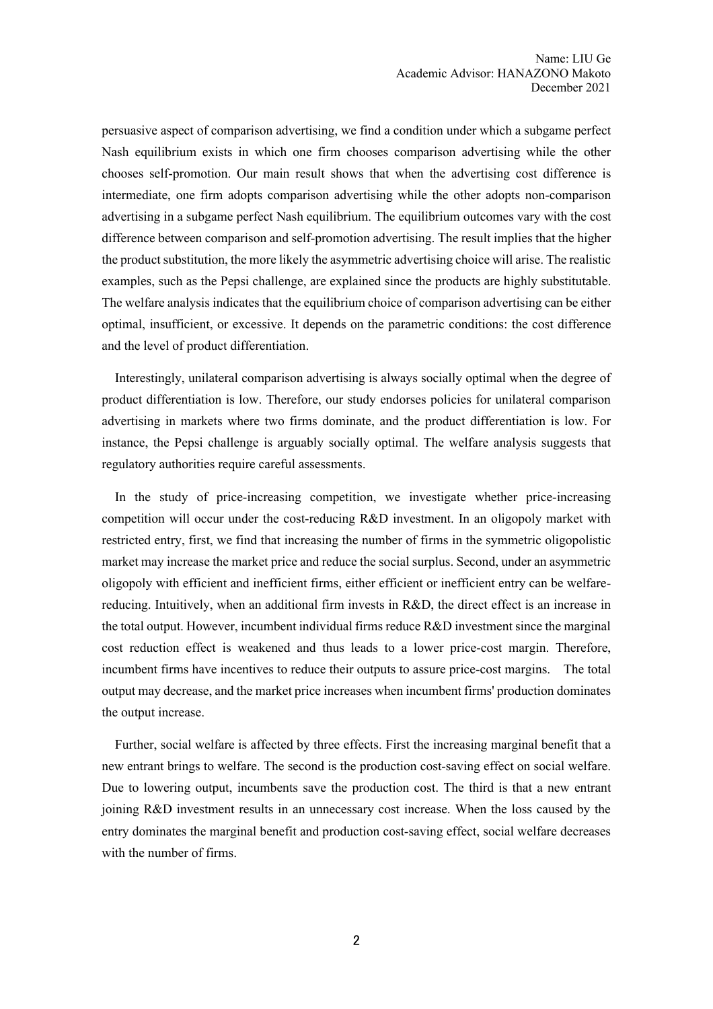persuasive aspect of comparison advertising, we find a condition under which a subgame perfect Nash equilibrium exists in which one firm chooses comparison advertising while the other chooses self-promotion. Our main result shows that when the advertising cost difference is intermediate, one firm adopts comparison advertising while the other adopts non-comparison advertising in a subgame perfect Nash equilibrium. The equilibrium outcomes vary with the cost difference between comparison and self-promotion advertising. The result implies that the higher the product substitution, the more likely the asymmetric advertising choice will arise. The realistic examples, such as the Pepsi challenge, are explained since the products are highly substitutable. The welfare analysis indicates that the equilibrium choice of comparison advertising can be either optimal, insufficient, or excessive. It depends on the parametric conditions: the cost difference and the level of product differentiation.

Interestingly, unilateral comparison advertising is always socially optimal when the degree of product differentiation is low. Therefore, our study endorses policies for unilateral comparison advertising in markets where two firms dominate, and the product differentiation is low. For instance, the Pepsi challenge is arguably socially optimal. The welfare analysis suggests that regulatory authorities require careful assessments.

In the study of price-increasing competition, we investigate whether price-increasing competition will occur under the cost-reducing R&D investment. In an oligopoly market with restricted entry, first, we find that increasing the number of firms in the symmetric oligopolistic market may increase the market price and reduce the social surplus. Second, under an asymmetric oligopoly with efficient and inefficient firms, either efficient or inefficient entry can be welfarereducing. Intuitively, when an additional firm invests in R&D, the direct effect is an increase in the total output. However, incumbent individual firms reduce R&D investment since the marginal cost reduction effect is weakened and thus leads to a lower price-cost margin. Therefore, incumbent firms have incentives to reduce their outputs to assure price-cost margins. The total output may decrease, and the market price increases when incumbent firms' production dominates the output increase.

Further, social welfare is affected by three effects. First the increasing marginal benefit that a new entrant brings to welfare. The second is the production cost-saving effect on social welfare. Due to lowering output, incumbents save the production cost. The third is that a new entrant joining R&D investment results in an unnecessary cost increase. When the loss caused by the entry dominates the marginal benefit and production cost-saving effect, social welfare decreases with the number of firms.